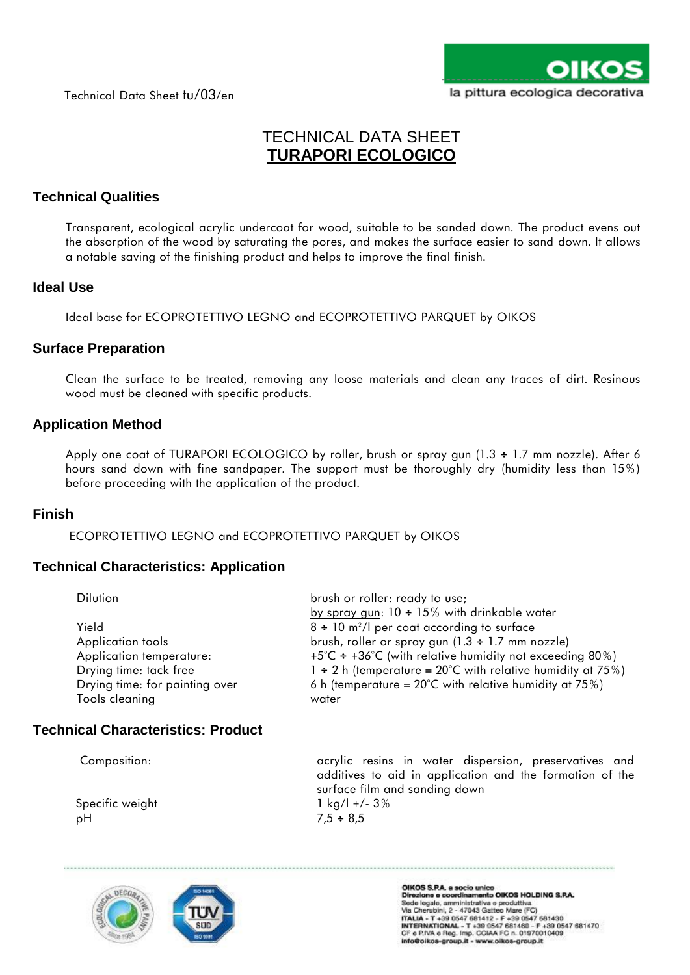Technical Data Sheet tu/03/en



# TECHNICAL DATA SHEET **TURAPORI ECOLOGICO**

## **Technical Qualities**

Transparent, ecological acrylic undercoat for wood, suitable to be sanded down. The product evens out the absorption of the wood by saturating the pores, and makes the surface easier to sand down. It allows a notable saving of the finishing product and helps to improve the final finish.

#### **Ideal Use**

Ideal base for ECOPROTETTIVO LEGNO and ECOPROTETTIVO PARQUET by OIKOS

#### **Surface Preparation**

Clean the surface to be treated, removing any loose materials and clean any traces of dirt. Resinous wood must be cleaned with specific products.

#### **Application Method**

Apply one coat of TURAPORI ECOLOGICO by roller, brush or spray gun (1.3 ÷ 1.7 mm nozzle). After 6 hours sand down with fine sandpaper. The support must be thoroughly dry (humidity less than 15%) before proceeding with the application of the product.

#### **Finish**

ECOPROTETTIVO LEGNO and ECOPROTETTIVO PARQUET by OIKOS

## **Technical Characteristics: Application**

| <b>Dilution</b>                | brush or roller: ready to use;                                   |
|--------------------------------|------------------------------------------------------------------|
|                                | by spray gun: $10 \div 15\%$ with drinkable water                |
| Yield                          | $8 \div 10$ m <sup>2</sup> /l per coat according to surface      |
| Application tools              | brush, roller or spray gun (1.3 ÷ 1.7 mm nozzle)                 |
| Application temperature:       | +5°C $\div$ +36°C (with relative humidity not exceeding 80%)     |
| Drying time: tack free         | $1 \div 2$ h (temperature = 20°C with relative humidity at 75%)  |
| Drying time: for painting over | 6 h (temperature = $20^{\circ}$ C with relative humidity at 75%) |
| Tools cleaning                 | water                                                            |

## **Technical Characteristics: Product**

Composition: acrylic resins in water dispersion, preservatives and additives to aid in application and the formation of the surface film and sanding down Specific weight 1 kg/l +/- 3% pH 7,5 ÷ 8,5



OIKOS S.P.A. a socio unico<br>Direzione e coordinamento OIKOS HOLDING S.P.A.<br>Sede legale, amministrativa e produttiva<br>Via Cherubini, 2 - 47043 Gatteo Mare (FC)<br>ITALIA - T +39 0547 681412 - F +39 0547 681430<br>INTERNATIONAL - T info@oikos-group.it - www.oikos-group.it